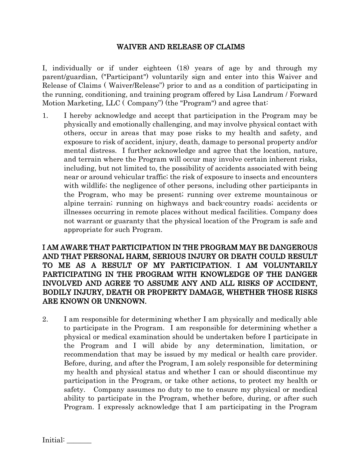## WAIVER AND RELEASE OF CLAIMS

I, individually or if under eighteen (18) years of age by and through my parent/guardian, ("Participant") voluntarily sign and enter into this Waiver and Release of Claims ( Waiver/Release") prior to and as a condition of participating in the running, conditioning, and training program offered by Lisa Landrum / Forward Motion Marketing, LLC ( Company") (the "Program") and agree that:

1. I hereby acknowledge and accept that participation in the Program may be physically and emotionally challenging, and may involve physical contact with others, occur in areas that may pose risks to my health and safety, and exposure to risk of accident, injury, death, damage to personal property and/or mental distress. I further acknowledge and agree that the location, nature, and terrain where the Program will occur may involve certain inherent risks, including, but not limited to, the possibility of accidents associated with being near or around vehicular traffic; the risk of exposure to insects and encounters with wildlife; the negligence of other persons, including other participants in the Program, who may be present; running over extreme mountainous or alpine terrain; running on highways and back-country roads; accidents or illnesses occurring in remote places without medical facilities. Company does not warrant or guaranty that the physical location of the Program is safe and appropriate for such Program.

I AM AWARE THAT PARTICIPATION IN THE PROGRAM MAY BE DANGEROUS AND THAT PERSONAL HARM, SERIOUS INJURY OR DEATH COULD RESULT TO ME AS A RESULT OF MY PARTICIPATION. I AM VOLUNTARILY PARTICIPATING IN THE PROGRAM WITH KNOWLEDGE OF THE DANGER INVOLVED AND AGREE TO ASSUME ANY AND ALL RISKS OF ACCIDENT, BODILY INJURY, DEATH OR PROPERTY DAMAGE, WHETHER THOSE RISKS ARE KNOWN OR UNKNOWN.

2. I am responsible for determining whether I am physically and medically able to participate in the Program. I am responsible for determining whether a physical or medical examination should be undertaken before I participate in the Program and I will abide by any determination, limitation, or recommendation that may be issued by my medical or health care provider. Before, during, and after the Program, I am solely responsible for determining my health and physical status and whether I can or should discontinue my participation in the Program, or take other actions, to protect my health or safety. Company assumes no duty to me to ensure my physical or medical ability to participate in the Program, whether before, during, or after such Program. I expressly acknowledge that I am participating in the Program

Initial: \_\_\_\_\_\_\_\_\_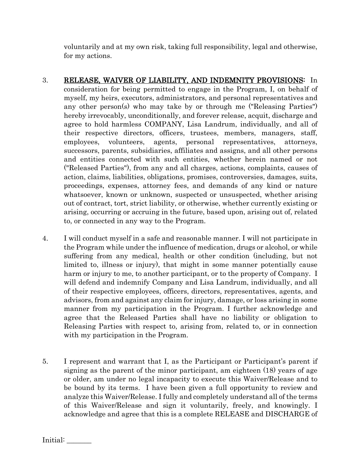voluntarily and at my own risk, taking full responsibility, legal and otherwise, for my actions.

- 3. RELEASE, WAIVER OF LIABILITY, AND INDEMNITY PROVISIONS: In consideration for being permitted to engage in the Program, I, on behalf of myself, my heirs, executors, administrators, and personal representatives and any other person(s) who may take by or through me ("Releasing Parties") hereby irrevocably, unconditionally, and forever release, acquit, discharge and agree to hold harmless COMPANY, Lisa Landrum, individually, and all of their respective directors, officers, trustees, members, managers, staff, employees, volunteers, agents, personal representatives, attorneys, successors, parents, subsidiaries, affiliates and assigns, and all other persons and entities connected with such entities, whether herein named or not ("Released Parties"), from any and all charges, actions, complaints, causes of action, claims, liabilities, obligations, promises, controversies, damages, suits, proceedings, expenses, attorney fees, and demands of any kind or nature whatsoever, known or unknown, suspected or unsuspected, whether arising out of contract, tort, strict liability, or otherwise, whether currently existing or arising, occurring or accruing in the future, based upon, arising out of, related to, or connected in any way to the Program.
- 4. I will conduct myself in a safe and reasonable manner. I will not participate in the Program while under the influence of medication, drugs or alcohol, or while suffering from any medical, health or other condition (including, but not limited to, illness or injury), that might in some manner potentially cause harm or injury to me, to another participant, or to the property of Company. I will defend and indemnify Company and Lisa Landrum, individually, and all of their respective employees, officers, directors, representatives, agents, and advisors, from and against any claim for injury, damage, or loss arising in some manner from my participation in the Program. I further acknowledge and agree that the Released Parties shall have no liability or obligation to Releasing Parties with respect to, arising from, related to, or in connection with my participation in the Program.
- 5. I represent and warrant that I, as the Participant or Participant's parent if signing as the parent of the minor participant, am eighteen (18) years of age or older, am under no legal incapacity to execute this Waiver/Release and to be bound by its terms. I have been given a full opportunity to review and analyze this Waiver/Release. I fully and completely understand all of the terms of this Waiver/Release and sign it voluntarily, freely, and knowingly. I acknowledge and agree that this is a complete RELEASE and DISCHARGE of

Initial: \_\_\_\_\_\_\_